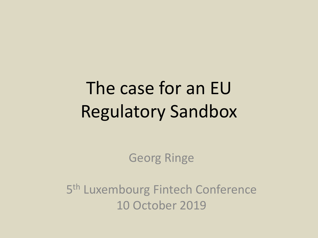# The case for an EU Regulatory Sandbox

Georg Ringe

5<sup>th</sup> Luxembourg Fintech Conference 10 October 2019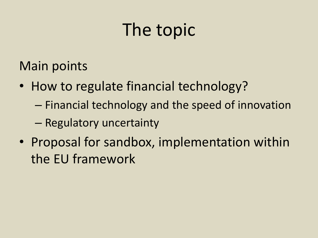# The topic

Main points

- How to regulate financial technology?
	- Financial technology and the speed of innovation
	- Regulatory uncertainty
- Proposal for sandbox, implementation within the EU framework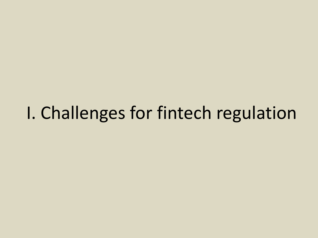### I. Challenges for fintech regulation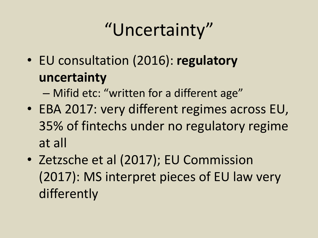# "Uncertainty"

- EU consultation (2016): **regulatory uncertainty**
	- Mifid etc: "written for a different age"
- EBA 2017: very different regimes across EU, 35% of fintechs under no regulatory regime at all
- Zetzsche et al (2017); EU Commission (2017): MS interpret pieces of EU law very differently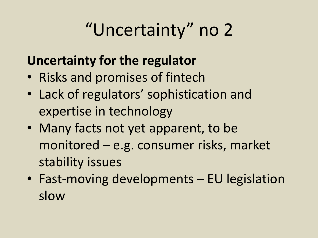# "Uncertainty" no 2

#### **Uncertainty for the regulator**

- Risks and promises of fintech
- Lack of regulators' sophistication and expertise in technology
- Many facts not yet apparent, to be monitored – e.g. consumer risks, market stability issues
- Fast-moving developments EU legislation slow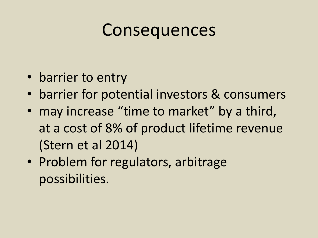#### Consequences

- barrier to entry
- barrier for potential investors & consumers
- may increase "time to market" by a third, at a cost of 8% of product lifetime revenue (Stern et al 2014)
- Problem for regulators, arbitrage possibilities.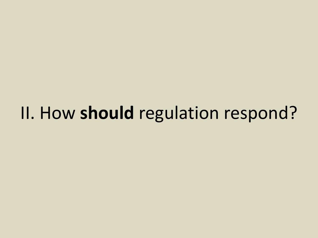## II. How **should** regulation respond?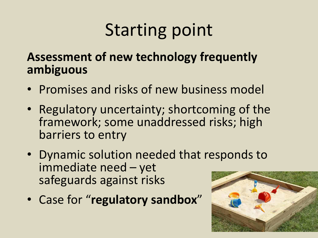# Starting point

#### **Assessment of new technology frequently ambiguous**

- Promises and risks of new business model
- Regulatory uncertainty; shortcoming of the framework; some unaddressed risks; high barriers to entry
- Dynamic solution needed that responds to immediate need – yet safeguards against risks
- Case for "**regulatory sandbox**"

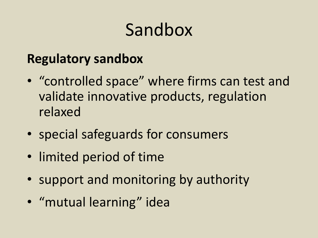# Sandbox

#### **Regulatory sandbox**

- "controlled space" where firms can test and validate innovative products, regulation relaxed
- special safeguards for consumers
- limited period of time
- support and monitoring by authority
- "mutual learning" idea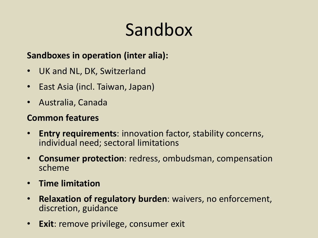# Sandbox

#### **Sandboxes in operation (inter alia):**

- UK and NL, DK, Switzerland
- East Asia (incl. Taiwan, Japan)
- Australia, Canada

#### **Common features**

- **Entry requirements**: innovation factor, stability concerns, individual need; sectoral limitations
- **Consumer protection**: redress, ombudsman, compensation scheme
- **Time limitation**
- **Relaxation of regulatory burden**: waivers, no enforcement, discretion, guidance
- **Exit**: remove privilege, consumer exit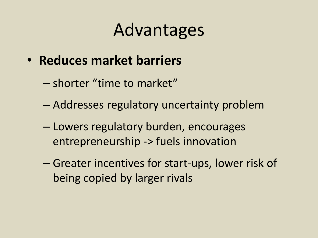- **Reduces market barriers**
	- shorter "time to market"
	- Addresses regulatory uncertainty problem
	- Lowers regulatory burden, encourages entrepreneurship -> fuels innovation
	- Greater incentives for start-ups, lower risk of being copied by larger rivals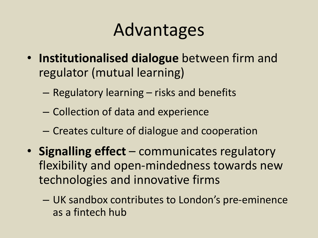- **Institutionalised dialogue** between firm and regulator (mutual learning)
	- Regulatory learning risks and benefits
	- Collection of data and experience
	- Creates culture of dialogue and cooperation
- **Signalling effect** communicates regulatory flexibility and open-mindedness towards new technologies and innovative firms
	- UK sandbox contributes to London's pre-eminence as a fintech hub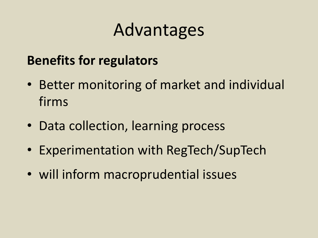#### **Benefits for regulators**

- Better monitoring of market and individual firms
- Data collection, learning process
- Experimentation with RegTech/SupTech
- will inform macroprudential issues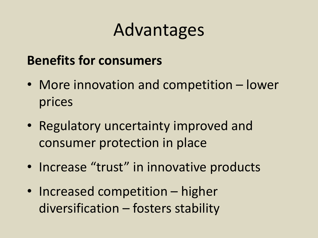#### **Benefits for consumers**

- More innovation and competition lower prices
- Regulatory uncertainty improved and consumer protection in place
- Increase "trust" in innovative products
- Increased competition higher diversification – fosters stability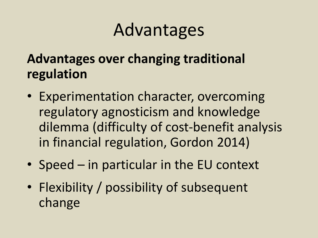#### **Advantages over changing traditional regulation**

- Experimentation character, overcoming regulatory agnosticism and knowledge dilemma (difficulty of cost-benefit analysis in financial regulation, Gordon 2014)
- Speed in particular in the EU context
- Flexibility / possibility of subsequent change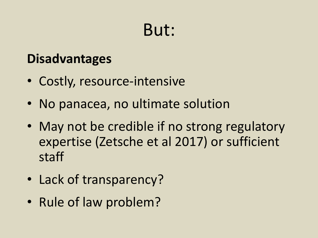### But:

#### **Disadvantages**

- Costly, resource-intensive
- No panacea, no ultimate solution
- May not be credible if no strong regulatory expertise (Zetsche et al 2017) or sufficient staff
- Lack of transparency?
- Rule of law problem?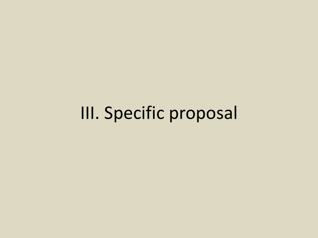III. Specific proposal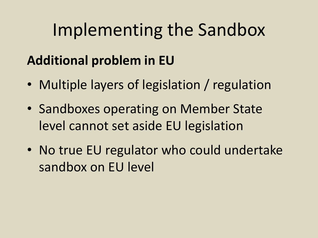#### **Additional problem in EU**

- Multiple layers of legislation / regulation
- Sandboxes operating on Member State level cannot set aside EU legislation
- No true EU regulator who could undertake sandbox on EU level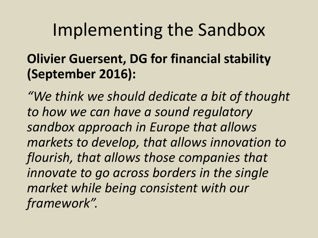#### **Olivier Guersent, DG for financial stability (September 2016):**

*"We think we should dedicate a bit of thought to how we can have a sound regulatory sandbox approach in Europe that allows markets to develop, that allows innovation to flourish, that allows those companies that innovate to go across borders in the single market while being consistent with our framework".*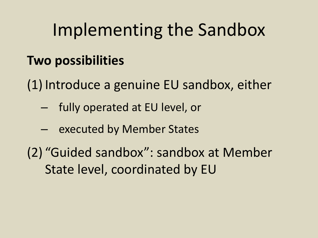#### **Two possibilities**

(1) Introduce a genuine EU sandbox, either

- fully operated at EU level, or
- executed by Member States

(2) "Guided sandbox": sandbox at Member State level, coordinated by EU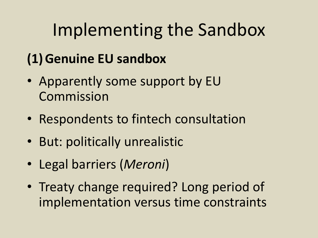#### **(1)Genuine EU sandbox**

- Apparently some support by EU Commission
- Respondents to fintech consultation
- But: politically unrealistic
- Legal barriers (*Meroni*)
- Treaty change required? Long period of implementation versus time constraints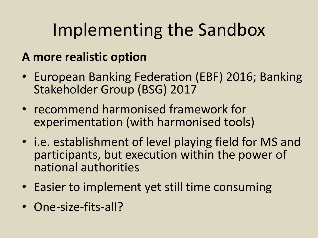#### **A more realistic option**

- European Banking Federation (EBF) 2016; Banking Stakeholder Group (BSG) 2017
- recommend harmonised framework for experimentation (with harmonised tools)
- i.e. establishment of level playing field for MS and participants, but execution within the power of national authorities
- Easier to implement yet still time consuming
- One-size-fits-all?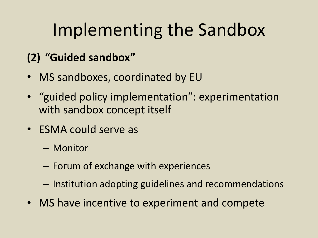#### **(2) "Guided sandbox"**

- MS sandboxes, coordinated by EU
- "guided policy implementation": experimentation with sandbox concept itself
- ESMA could serve as
	- Monitor
	- Forum of exchange with experiences
	- Institution adopting guidelines and recommendations
- MS have incentive to experiment and compete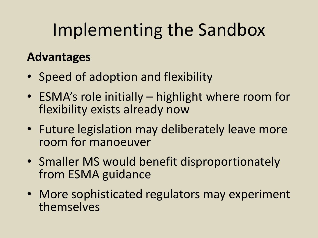#### **Advantages**

- Speed of adoption and flexibility
- ESMA's role initially highlight where room for flexibility exists already now
- Future legislation may deliberately leave more room for manoeuver
- Smaller MS would benefit disproportionately from ESMA guidance
- More sophisticated regulators may experiment themselves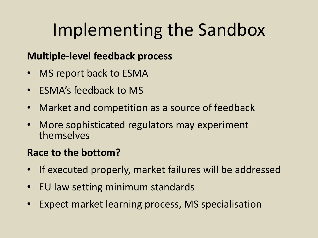#### **Multiple-level feedback process**

- MS report back to ESMA
- ESMA's feedback to MS
- Market and competition as a source of feedback
- More sophisticated regulators may experiment themselves

#### **Race to the bottom?**

- If executed properly, market failures will be addressed
- EU law setting minimum standards
- Expect market learning process, MS specialisation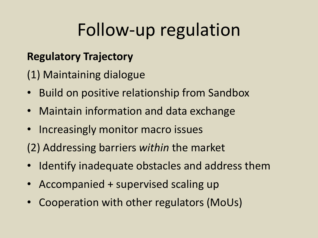## Follow-up regulation

#### **Regulatory Trajectory**

(1) Maintaining dialogue

- Build on positive relationship from Sandbox
- Maintain information and data exchange
- Increasingly monitor macro issues
- (2) Addressing barriers *within* the market
- Identify inadequate obstacles and address them
- Accompanied + supervised scaling up
- Cooperation with other regulators (MoUs)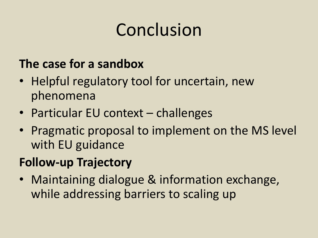# Conclusion

#### **The case for a sandbox**

- Helpful regulatory tool for uncertain, new phenomena
- Particular EU context challenges
- Pragmatic proposal to implement on the MS level with EU guidance

#### **Follow-up Trajectory**

• Maintaining dialogue & information exchange, while addressing barriers to scaling up